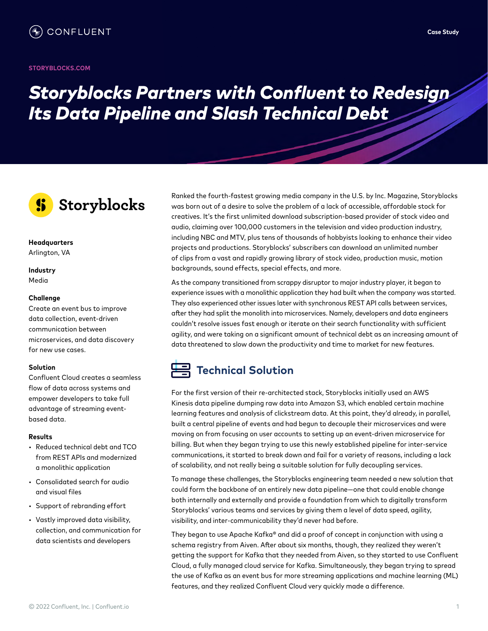#### **STORYBLOCKS[.COM](https://www.storyblocks.com)**

# *Storyblocks Partners with Confluent to Redesign Its Data Pipeline and Slash Technical Debt*



#### **Headquarters** Arlington, VA

#### **Industry** Media

#### **Challenge**

Create an event bus to improve data collection, event-driven communication between microservices, and data discovery for new use cases.

#### **Solution**

Confluent Cloud creates a seamless flow of data across systems and empower developers to take full advantage of streaming eventbased data.

#### **Results**

- Reduced technical debt and TCO from REST APIs and modernized a monolithic application
- Consolidated search for audio and visual files
- Support of rebranding effort
- Vastly improved data visibility, collection, and communication for data scientists and developers

Ranked the fourth-fastest growing media company in the U.S. by Inc. Magazine, Storyblocks was born out of a desire to solve the problem of a lack of accessible, affordable stock for creatives. It's the first unlimited download subscription-based provider of stock video and audio, claiming over 100,000 customers in the television and video production industry, including NBC and MTV, plus tens of thousands of hobbyists looking to enhance their video projects and productions. Storyblocks' subscribers can download an unlimited number of clips from a vast and rapidly growing library of stock video, production music, motion backgrounds, sound effects, special effects, and more.

As the company transitioned from scrappy disruptor to major industry player, it began to experience issues with a monolithic application they had built when the company was started. They also experienced other issues later with synchronous REST API calls between services, after they had split the monolith into microservices. Namely, developers and data engineers couldn't resolve issues fast enough or iterate on their search functionality with sufficient agility, and were taking on a significant amount of technical debt as an increasing amount of data threatened to slow down the productivity and time to market for new features.

## **Technical Solution**

For the first version of their re-architected stack, Storyblocks initially used an AWS Kinesis data pipeline dumping raw data into Amazon S3, which enabled certain machine learning features and analysis of clickstream data. At this point, they'd already, in parallel, built a central pipeline of events and had begun to decouple their microservices and were moving on from focusing on user accounts to setting up an event-driven microservice for billing. But when they began trying to use this newly established pipeline for inter-service communications, it started to break down and fail for a variety of reasons, including a lack of scalability, and not really being a suitable solution for fully decoupling services.

To manage these challenges, the Storyblocks engineering team needed a new solution that could form the backbone of an entirely new data pipeline—one that could enable change both internally and externally and provide a foundation from which to digitally transform Storyblocks' various teams and services by giving them a level of data speed, agility, visibility, and inter-communicability they'd never had before.

They began to use Apache Kafka® and did a proof of concept in conjunction with using a schema registry from Aiven. After about six months, though, they realized they weren't getting the support for Kafka that they needed from Aiven, so they started to use Confluent Cloud, a fully managed cloud service for Kafka. Simultaneously, they began trying to spread the use of Kafka as an event bus for more streaming applications and machine learning (ML) features, and they realized Confluent Cloud very quickly made a difference.